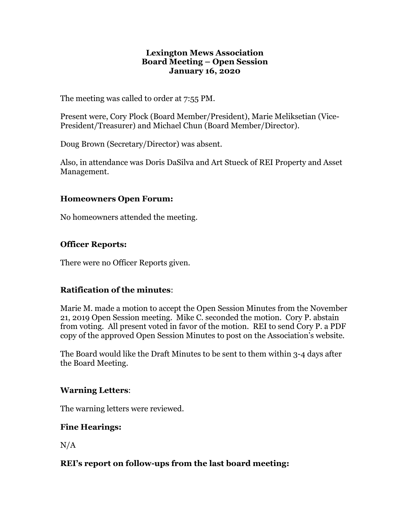#### **Lexington Mews Association Board Meeting – Open Session January 16, 2020**

The meeting was called to order at 7:55 PM.

Present were, Cory Plock (Board Member/President), Marie Meliksetian (Vice-President/Treasurer) and Michael Chun (Board Member/Director).

Doug Brown (Secretary/Director) was absent.

Also, in attendance was Doris DaSilva and Art Stueck of REI Property and Asset Management.

#### **Homeowners Open Forum:**

No homeowners attended the meeting.

# **Officer Reports:**

There were no Officer Reports given.

# **Ratification of the minutes**:

Marie M. made a motion to accept the Open Session Minutes from the November 21, 2019 Open Session meeting. Mike C. seconded the motion. Cory P. abstain from voting. All present voted in favor of the motion. REI to send Cory P. a PDF copy of the approved Open Session Minutes to post on the Association's website.

The Board would like the Draft Minutes to be sent to them within 3-4 days after the Board Meeting.

# **Warning Letters**:

The warning letters were reviewed.

# **Fine Hearings:**

 $N/A$ 

# **REI's report on follow-ups from the last board meeting:**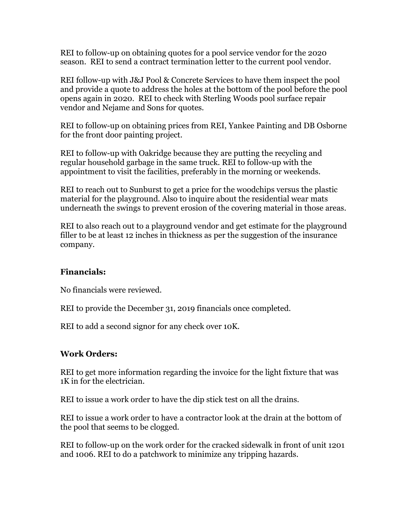REI to follow-up on obtaining quotes for a pool service vendor for the 2020 season. REI to send a contract termination letter to the current pool vendor.

REI follow-up with J&J Pool & Concrete Services to have them inspect the pool and provide a quote to address the holes at the bottom of the pool before the pool opens again in 2020. REI to check with Sterling Woods pool surface repair vendor and Nejame and Sons for quotes.

REI to follow-up on obtaining prices from REI, Yankee Painting and DB Osborne for the front door painting project.

REI to follow-up with Oakridge because they are putting the recycling and regular household garbage in the same truck. REI to follow-up with the appointment to visit the facilities, preferably in the morning or weekends.

REI to reach out to Sunburst to get a price for the woodchips versus the plastic material for the playground. Also to inquire about the residential wear mats underneath the swings to prevent erosion of the covering material in those areas.

REI to also reach out to a playground vendor and get estimate for the playground filler to be at least 12 inches in thickness as per the suggestion of the insurance company.

# **Financials:**

No financials were reviewed.

REI to provide the December 31, 2019 financials once completed.

REI to add a second signor for any check over 10K.

# **Work Orders:**

REI to get more information regarding the invoice for the light fixture that was 1K in for the electrician.

REI to issue a work order to have the dip stick test on all the drains.

REI to issue a work order to have a contractor look at the drain at the bottom of the pool that seems to be clogged.

REI to follow-up on the work order for the cracked sidewalk in front of unit 1201 and 1006. REI to do a patchwork to minimize any tripping hazards.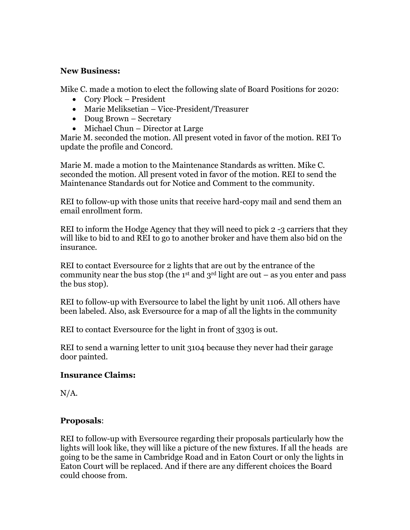#### **New Business:**

Mike C. made a motion to elect the following slate of Board Positions for 2020:

- Cory Plock President
- Marie Meliksetian Vice-President/Treasurer
- Doug Brown Secretary
- Michael Chun Director at Large

Marie M. seconded the motion. All present voted in favor of the motion. REI To update the profile and Concord.

Marie M. made a motion to the Maintenance Standards as written. Mike C. seconded the motion. All present voted in favor of the motion. REI to send the Maintenance Standards out for Notice and Comment to the community.

REI to follow-up with those units that receive hard-copy mail and send them an email enrollment form.

REI to inform the Hodge Agency that they will need to pick 2-3 carriers that they will like to bid to and REI to go to another broker and have them also bid on the insurance.

REI to contact Eversource for 2 lights that are out by the entrance of the community near the bus stop (the 1<sup>st</sup> and  $3<sup>rd</sup>$  light are out – as you enter and pass the bus stop).

REI to follow-up with Eversource to label the light by unit 1106. All others have been labeled. Also, ask Eversource for a map of all the lights in the community

REI to contact Eversource for the light in front of 3303 is out.

REI to send a warning letter to unit 3104 because they never had their garage door painted.

# **Insurance Claims:**

 $N/A$ .

# **Proposals**:

REI to follow-up with Eversource regarding their proposals particularly how the lights will look like, they will like a picture of the new fixtures. If all the heads are going to be the same in Cambridge Road and in Eaton Court or only the lights in Eaton Court will be replaced. And if there are any different choices the Board could choose from.